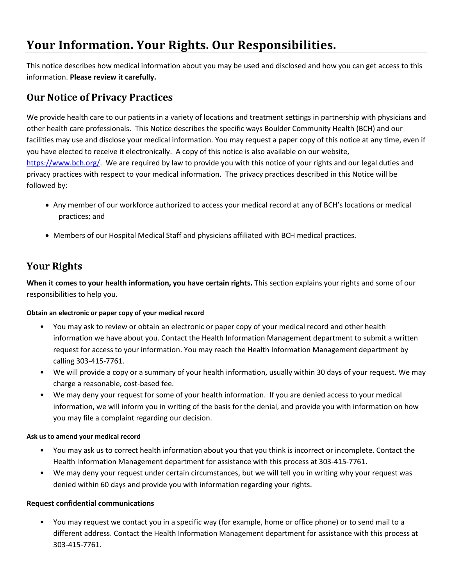# **Your Information. Your Rights. Our Responsibilities.**

This notice describes how medical information about you may be used and disclosed and how you can get access to this information. **Please review it carefully.**

### **Our Notice of Privacy Practices**

We provide health care to our patients in a variety of locations and treatment settings in partnership with physicians and other health care professionals. This Notice describes the specific ways Boulder Community Health (BCH) and our facilities may use and disclose your medical information. You may request a paper copy of this notice at any time, even if you have elected to receive it electronically. A copy of this notice is also available on our website, [https://www.bch.org/.](https://www.bch.org/) We are required by law to provide you with this notice of your rights and our legal duties and privacy practices with respect to your medical information. The privacy practices described in this Notice will be followed by:

- Any member of our workforce authorized to access your medical record at any of BCH's locations or medical practices; and
- Members of our Hospital Medical Staff and physicians affiliated with BCH medical practices.

## **Your Rights**

**When it comes to your health information, you have certain rights.** This section explains your rights and some of our responsibilities to help you.

#### **Obtain an electronic or paper copy of your medical record**

- You may ask to review or obtain an electronic or paper copy of your medical record and other health information we have about you. Contact the Health Information Management department to submit a written request for access to your information. You may reach the Health Information Management department by calling 303-415-7761.
- We will provide a copy or a summary of your health information, usually within 30 days of your request. We may charge a reasonable, cost-based fee.
- We may deny your request for some of your health information. If you are denied access to your medical information, we will inform you in writing of the basis for the denial, and provide you with information on how you may file a complaint regarding our decision.

#### **Ask us to amend your medical record**

- You may ask us to correct health information about you that you think is incorrect or incomplete. Contact the Health Information Management department for assistance with this process at 303-415-7761.
- We may deny your request under certain circumstances, but we will tell you in writing why your request was denied within 60 days and provide you with information regarding your rights.

#### **Request confidential communications**

• You may request we contact you in a specific way (for example, home or office phone) or to send mail to a different address. Contact the Health Information Management department for assistance with this process at 303-415-7761.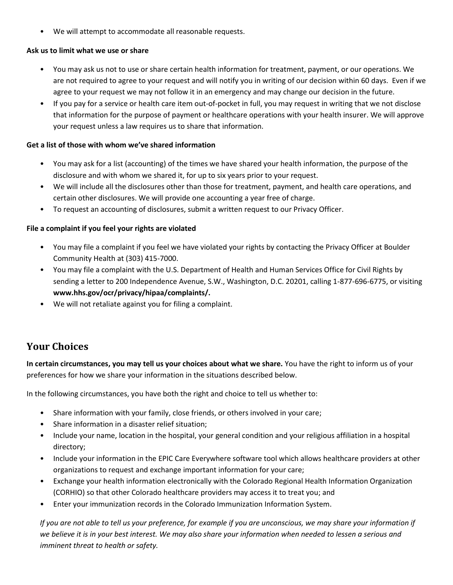• We will attempt to accommodate all reasonable requests.

#### **Ask us to limit what we use or share**

- You may ask us not to use or share certain health information for treatment, payment, or our operations. We are not required to agree to your request and will notify you in writing of our decision within 60 days. Even if we agree to your request we may not follow it in an emergency and may change our decision in the future.
- If you pay for a service or health care item out-of-pocket in full, you may request in writing that we not disclose that information for the purpose of payment or healthcare operations with your health insurer. We will approve your request unless a law requires us to share that information.

#### **Get a list of those with whom we've shared information**

- You may ask for a list (accounting) of the times we have shared your health information, the purpose of the disclosure and with whom we shared it, for up to six years prior to your request.
- We will include all the disclosures other than those for treatment, payment, and health care operations, and certain other disclosures. We will provide one accounting a year free of charge.
- To request an accounting of disclosures, submit a written request to our Privacy Officer.

#### **File a complaint if you feel your rights are violated**

- You may file a complaint if you feel we have violated your rights by contacting the Privacy Officer at Boulder Community Health at (303) 415-7000.
- You may file a complaint with the U.S. Department of Health and Human Services Office for Civil Rights by sending a letter to 200 Independence Avenue, S.W., Washington, D.C. 20201, calling 1-877-696-6775, or visiting **www.hhs.gov/ocr/privacy/hipaa/complaints/.**
- We will not retaliate against you for filing a complaint.

## **Your Choices**

**In certain circumstances, you may tell us your choices about what we share.** You have the right to inform us of your preferences for how we share your information in the situations described below.

In the following circumstances, you have both the right and choice to tell us whether to:

- Share information with your family, close friends, or others involved in your care;
- Share information in a disaster relief situation;
- Include your name, location in the hospital, your general condition and your religious affiliation in a hospital directory;
- Include your information in the EPIC Care Everywhere software tool which allows healthcare providers at other organizations to request and exchange important information for your care;
- Exchange your health information electronically with the Colorado Regional Health Information Organization (CORHIO) so that other Colorado healthcare providers may access it to treat you; and
- Enter your immunization records in the Colorado Immunization Information System.

*If you are not able to tell us your preference, for example if you are unconscious, we may share your information if we believe it is in your best interest. We may also share your information when needed to lessen a serious and imminent threat to health or safety.*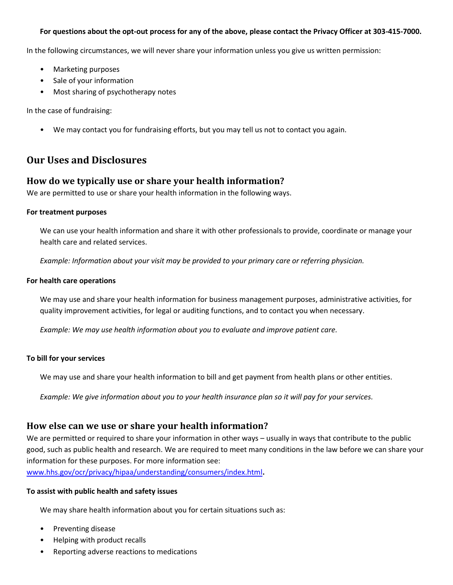#### **For questions about the opt-out process for any of the above, please contact the Privacy Officer at 303-415-7000.**

In the following circumstances, we will never share your information unless you give us written permission:

- Marketing purposes
- Sale of your information
- Most sharing of psychotherapy notes

In the case of fundraising:

• We may contact you for fundraising efforts, but you may tell us not to contact you again.

### **Our Uses and Disclosures**

#### **How do we typically use or share your health information?**

We are permitted to use or share your health information in the following ways.

#### **For treatment purposes**

We can use your health information and share it with other professionals to provide, coordinate or manage your health care and related services.

*Example: Information about your visit may be provided to your primary care or referring physician.*

#### **For health care operations**

We may use and share your health information for business management purposes, administrative activities, for quality improvement activities, for legal or auditing functions, and to contact you when necessary.

*Example: We may use health information about you to evaluate and improve patient care.* 

#### **To bill for your services**

We may use and share your health information to bill and get payment from health plans or other entities.

*Example: We give information about you to your health insurance plan so it will pay for your services.* 

#### **How else can we use or share your health information?**

We are permitted or required to share your information in other ways – usually in ways that contribute to the public good, such as public health and research. We are required to meet many conditions in the law before we can share your information for these purposes. For more information see: [www.hhs.gov/ocr/privacy/hipaa/understanding/consumers/index.html](http://www.hhs.gov/ocr/privacy/hipaa/understanding/consumers/index.html)**.**

#### **To assist with public health and safety issues**

We may share health information about you for certain situations such as:

- Preventing disease
- Helping with product recalls
- Reporting adverse reactions to medications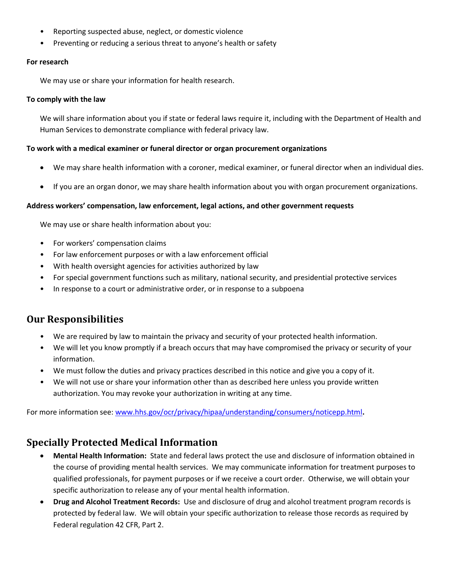- Reporting suspected abuse, neglect, or domestic violence
- Preventing or reducing a serious threat to anyone's health or safety

#### **For research**

We may use or share your information for health research.

#### **To comply with the law**

We will share information about you if state or federal laws require it, including with the Department of Health and Human Services to demonstrate compliance with federal privacy law.

#### **To work with a medical examiner or funeral director or organ procurement organizations**

- We may share health information with a coroner, medical examiner, or funeral director when an individual dies.
- If you are an organ donor, we may share health information about you with organ procurement organizations.

#### **Address workers' compensation, law enforcement, legal actions, and other government requests**

We may use or share health information about you:

- For workers' compensation claims
- For law enforcement purposes or with a law enforcement official
- With health oversight agencies for activities authorized by law
- For special government functions such as military, national security, and presidential protective services
- In response to a court or administrative order, or in response to a subpoena

### **Our Responsibilities**

- We are required by law to maintain the privacy and security of your protected health information.
- We will let you know promptly if a breach occurs that may have compromised the privacy or security of your information.
- We must follow the duties and privacy practices described in this notice and give you a copy of it.
- We will not use or share your information other than as described here unless you provide written authorization. You may revoke your authorization in writing at any time.

For more information see: [www.hhs.gov/ocr/privacy/hipaa/understanding/consumers/noticepp.html](http://www.hhs.gov/ocr/privacy/hipaa/understanding/consumers/noticepp.html)**.**

### **Specially Protected Medical Information**

- **Mental Health Information:** State and federal laws protect the use and disclosure of information obtained in the course of providing mental health services. We may communicate information for treatment purposes to qualified professionals, for payment purposes or if we receive a court order. Otherwise, we will obtain your specific authorization to release any of your mental health information.
- **Drug and Alcohol Treatment Records:** Use and disclosure of drug and alcohol treatment program records is protected by federal law. We will obtain your specific authorization to release those records as required by Federal regulation 42 CFR, Part 2.